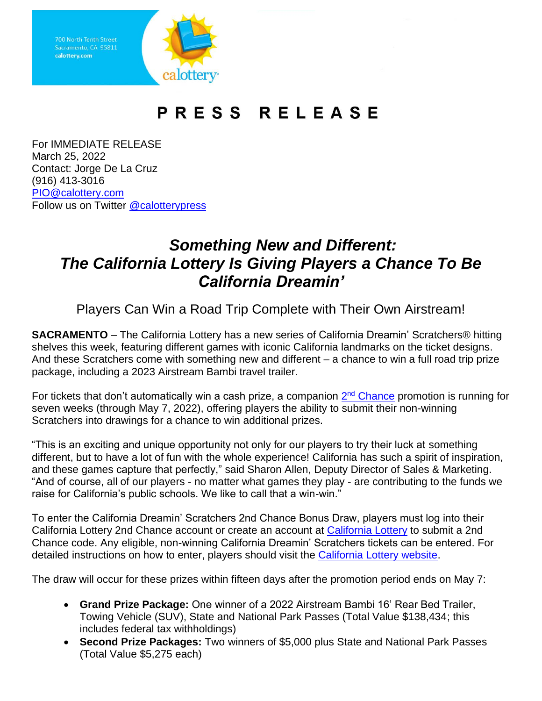

## PRESS RELEASE

For IMMEDIATE RELEASE March 25, 2022 Contact: Jorge De La Cruz (916) 413-3016 [PIO@calottery.com](mailto:PIO@calottery.com) Follow us on Twitter [@calotterypress](https://twitter.com/calotterypress)

## *Something New and Different: The California Lottery Is Giving Players a Chance To Be California Dreamin'*

Players Can Win a Road Trip Complete with Their Own Airstream!

**SACRAMENTO** – The California Lottery has a new series of California Dreamin' Scratchers® hitting shelves this week, featuring different games with iconic California landmarks on the ticket designs. And these Scratchers come with something new and different – a chance to win a full road trip prize package, including a 2023 Airstream Bambi travel trailer.

For tickets that don't automatically win a cash prize, a companion 2<sup>nd</sup> [Chance](https://www.calottery.com/2nd-chance) promotion is running for seven weeks (through May 7, 2022), offering players the ability to submit their non-winning Scratchers into drawings for a chance to win additional prizes.

"This is an exciting and unique opportunity not only for our players to try their luck at something different, but to have a lot of fun with the whole experience! California has such a spirit of inspiration, and these games capture that perfectly," said Sharon Allen, Deputy Director of Sales & Marketing. "And of course, all of our players - no matter what games they play - are contributing to the funds we raise for California's public schools. We like to call that a win-win."

To enter the California Dreamin' Scratchers 2nd Chance Bonus Draw, players must log into their California Lottery 2nd Chance account or create an account at [California Lottery](https://www.calottery.com/registration) to submit a 2nd Chance code. Any eligible, non-winning California Dreamin' Scratchers tickets can be entered. For detailed instructions on how to enter, players should visit the [California Lottery website.](https://www.calottery.com/promotions)

The draw will occur for these prizes within fifteen days after the promotion period ends on May 7:

- **Grand Prize Package:** One winner of a 2022 Airstream Bambi 16' Rear Bed Trailer, Towing Vehicle (SUV), State and National Park Passes (Total Value \$138,434; this includes federal tax withholdings)
- **Second Prize Packages:** Two winners of \$5,000 plus State and National Park Passes (Total Value \$5,275 each)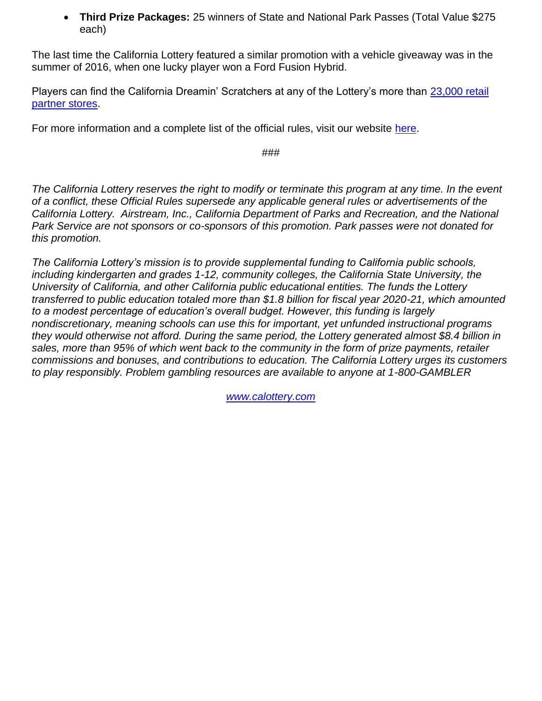• **Third Prize Packages:** 25 winners of State and National Park Passes (Total Value \$275 each)

The last time the California Lottery featured a similar promotion with a vehicle giveaway was in the summer of 2016, when one lucky player won a Ford Fusion Hybrid.

Players can find the California Dreamin' Scratchers at any of the Lottery's more than [23,000 retail](https://www.calottery.com/Where-To-Play)  [partner stores.](https://www.calottery.com/Where-To-Play)

For more information and a complete list of the official rules, visit our website [here.](https://www.calottery.com/promotions)

###

*The California Lottery reserves the right to modify or terminate this program at any time. In the event of a conflict, these Official Rules supersede any applicable general rules or advertisements of the California Lottery. Airstream, Inc., California Department of Parks and Recreation, and the National Park Service are not sponsors or co-sponsors of this promotion. Park passes were not donated for this promotion.*

*The California Lottery's mission is to provide supplemental funding to California public schools, including kindergarten and grades 1-12, community colleges, the California State University, the University of California, and other California public educational entities. The funds the Lottery transferred to public education totaled more than \$1.8 billion for fiscal year 2020-21, which amounted to a modest percentage of education's overall budget. However, this funding is largely nondiscretionary, meaning schools can use this for important, yet unfunded instructional programs they would otherwise not afford. During the same period, the Lottery generated almost \$8.4 billion in sales, more than 95% of which went back to the community in the form of prize payments, retailer commissions and bonuses, and contributions to education. The California Lottery urges its customers to play responsibly. Problem gambling resources are available to anyone at 1-800-GAMBLER*

*[www.calottery.com](http://www.calottery.com/)*